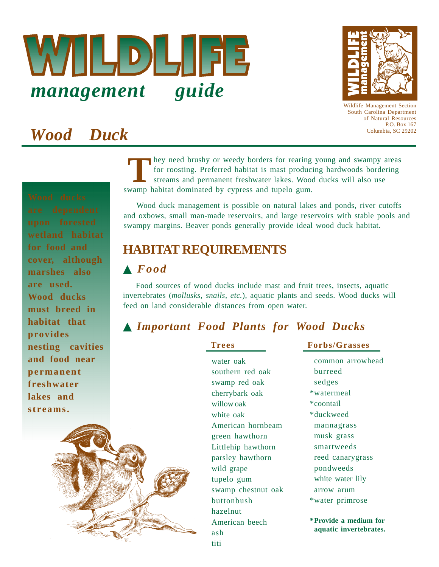



Wildlife Management Section South Carolina Department of Natural Resources P.O. Box 167 Columbia, SC 29202

# *Wood Duck*

hey need brushy or weedy borders for rearing young and swampy areas for roosting. Preferred habitat is mast producing hardwoods bordering streams and permanent freshwater lakes. Wood ducks will also use They need brushy or weedy borders for rearing<br>for roosting. Preferred habitat is mast produc<br>streams and permanent freshwater lakes. Woo<br>swamp habitat dominated by cypress and tupelo gum.

Wood duck management is possible on natural lakes and ponds, river cutoffs and oxbows, small man-made reservoirs, and large reservoirs with stable pools and swampy margins. Beaver ponds generally provide ideal wood duck habitat.

### **HABITAT REQUIREMENTS**

### ▲ *Food*

Food sources of wood ducks include mast and fruit trees, insects, aquatic invertebrates (*mollusks, snails, etc.*), aquatic plants and seeds. Wood ducks will feed on land considerable distances from open water.

### ▲ *Important Food Plants for Wood Ducks*

water oak southern red oak swamp red oak cherrybark oak willow oak white oak American hornbeam green hawthorn Littlehip hawthorn parsley hawthorn wild grape tupelo gum swamp chestnut oak buttonbush hazelnut American beech ash titi

**Trees Forbs/Grasses**

common arrowhead burreed sedges \*watermeal \*coontail \*duckweed mannagrass musk grass smartweeds reed canarygrass pondweeds white water lily arrow arum \*water primrose **\*Provide a medium for aquatic invertebrates.**

**wetland habitat for food and cover, although marshes also are used. Wood ducks must breed in habitat that provides nesting cavities and food near permanent freshwater lakes and streams.**

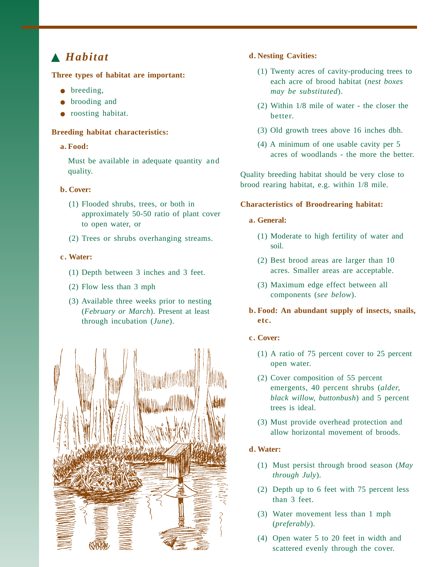#### **Three types of habitat are important:**

- breeding,
- brooding and
- roosting habitat.

#### **Breeding habitat characteristics:**

#### **a. Food:**

Must be available in adequate quantity and quality.

#### **b. Cover:**

- (1) Flooded shrubs, trees, or both in approximately 50-50 ratio of plant cover to open water, or
- (2) Trees or shrubs overhanging streams.

#### **c. Water:**

- (1) Depth between 3 inches and 3 feet.
- (2) Flow less than 3 mph
- (3) Available three weeks prior to nesting (*February or March*). Present at least through incubation (*June*).



#### ▲ *Habitat* **d. Nesting Cavities:**

- (1) Twenty acres of cavity-producing trees to each acre of brood habitat (*nest boxes may be substituted*).
- (2) Within 1/8 mile of water the closer the better.
- (3) Old growth trees above 16 inches dbh.
- (4) A minimum of one usable cavity per 5 acres of woodlands - the more the better.

Quality breeding habitat should be very close to brood rearing habitat, e.g. within 1/8 mile.

#### **Characteristics of Broodrearing habitat:**

#### **a. General:**

- (1) Moderate to high fertility of water and soil.
- (2) Best brood areas are larger than 10 acres. Smaller areas are acceptable.
- (3) Maximum edge effect between all components (*see below*).

### **b. Food: An abundant supply of insects, snails, etc.**

#### **c. Cover:**

- (1) A ratio of 75 percent cover to 25 percent open water.
- (2) Cover composition of 55 percent emergents, 40 percent shrubs (*alder, black willow, buttonbush*) and 5 percent trees is ideal.
- (3) Must provide overhead protection and allow horizontal movement of broods.

#### **d. Water:**

- (1) Must persist through brood season (*May through July*).
- (2) Depth up to 6 feet with 75 percent less than 3 feet.
- (3) Water movement less than 1 mph (*preferably*).
- (4) Open water 5 to 20 feet in width and scattered evenly through the cover.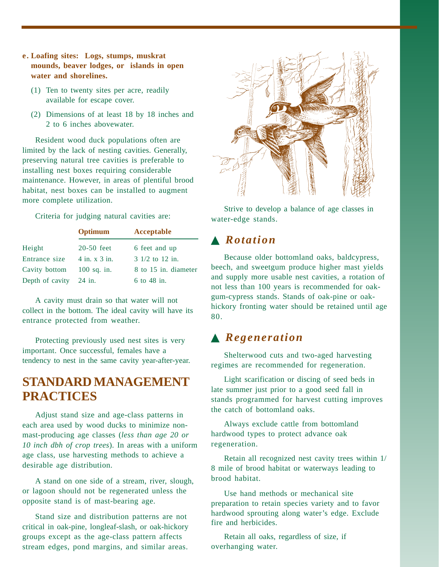- **e. Loafing sites: Logs, stumps, muskrat mounds, beaver lodges, or islands in open water and shorelines.**
	- (1) Ten to twenty sites per acre, readily available for escape cover.
	- (2) Dimensions of at least 18 by 18 inches and 2 to 6 inches abovewater.

Resident wood duck populations often are limited by the lack of nesting cavities. Generally, preserving natural tree cavities is preferable to installing nest boxes requiring considerable maintenance. However, in areas of plentiful brood habitat, nest boxes can be installed to augment more complete utilization.

Criteria for judging natural cavities are:

|                        | Optimum           | Acceptable                          |
|------------------------|-------------------|-------------------------------------|
| Height                 | $20-50$ feet      | 6 feet and up                       |
| Entrance size          | $4$ in. x $3$ in. | $3 \frac{1}{2}$ to $12 \text{ in.}$ |
| Cavity bottom          | $100$ sq. in.     | 8 to 15 in. diameter                |
| Depth of cavity 24 in. |                   | $6$ to 48 in.                       |

A cavity must drain so that water will not collect in the bottom. The ideal cavity will have its entrance protected from weather.

Protecting previously used nest sites is very important. Once successful, females have a tendency to nest in the same cavity year-after-year.

### **STANDARD MANAGEMENT PRACTICES**

Adjust stand size and age-class patterns in each area used by wood ducks to minimize nonmast-producing age classes (*less than age 20 or 10 inch dbh of crop trees*). In areas with a uniform age class, use harvesting methods to achieve a desirable age distribution.

A stand on one side of a stream, river, slough, or lagoon should not be regenerated unless the opposite stand is of mast-bearing age.

Stand size and distribution patterns are not critical in oak-pine, longleaf-slash, or oak-hickory groups except as the age-class pattern affects stream edges, pond margins, and similar areas.



Strive to develop a balance of age classes in water-edge stands.

### ▲ *Rotation*

Because older bottomland oaks, baldcypress, beech, and sweetgum produce higher mast yields and supply more usable nest cavities, a rotation of not less than 100 years is recommended for oakgum-cypress stands. Stands of oak-pine or oakhickory fronting water should be retained until age 80.

### ▲ *Regeneration*

Shelterwood cuts and two-aged harvesting regimes are recommended for regeneration.

Light scarification or discing of seed beds in late summer just prior to a good seed fall in stands programmed for harvest cutting improves the catch of bottomland oaks.

Always exclude cattle from bottomland hardwood types to protect advance oak regeneration.

Retain all recognized nest cavity trees within 1/ 8 mile of brood habitat or waterways leading to brood habitat.

Use hand methods or mechanical site preparation to retain species variety and to favor hardwood sprouting along water's edge. Exclude fire and herbicides.

Retain all oaks, regardless of size, if overhanging water.